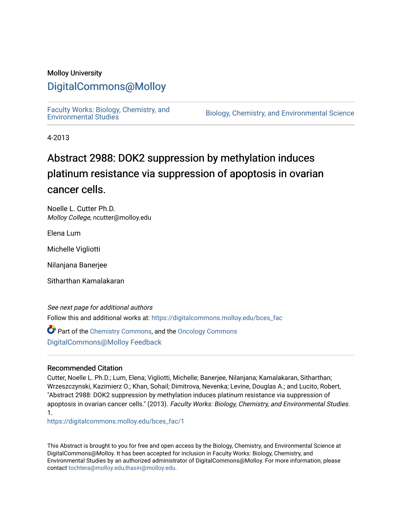### Molloy University

## [DigitalCommons@Molloy](https://digitalcommons.molloy.edu/)

[Faculty Works: Biology, Chemistry, and](https://digitalcommons.molloy.edu/bces_fac) 

Biology, Chemistry, and Environmental Science

4-2013

# Abstract 2988: DOK2 suppression by methylation induces platinum resistance via suppression of apoptosis in ovarian cancer cells.

Noelle L. Cutter Ph.D. Molloy College, ncutter@molloy.edu

Elena Lum

Michelle Vigliotti

Nilanjana Banerjee

Sitharthan Kamalakaran

See next page for additional authors Follow this and additional works at: [https://digitalcommons.molloy.edu/bces\\_fac](https://digitalcommons.molloy.edu/bces_fac?utm_source=digitalcommons.molloy.edu%2Fbces_fac%2F1&utm_medium=PDF&utm_campaign=PDFCoverPages)

Part of the [Chemistry Commons,](https://network.bepress.com/hgg/discipline/131?utm_source=digitalcommons.molloy.edu%2Fbces_fac%2F1&utm_medium=PDF&utm_campaign=PDFCoverPages) and the [Oncology Commons](https://network.bepress.com/hgg/discipline/694?utm_source=digitalcommons.molloy.edu%2Fbces_fac%2F1&utm_medium=PDF&utm_campaign=PDFCoverPages) [DigitalCommons@Molloy Feedback](https://molloy.libwizard.com/f/dcfeedback)

#### Recommended Citation

Cutter, Noelle L. Ph.D.; Lum, Elena; Vigliotti, Michelle; Banerjee, Nilanjana; Kamalakaran, Sitharthan; Wrzeszczynski, Kazimierz O.; Khan, Sohail; Dimitrova, Nevenka; Levine, Douglas A.; and Lucito, Robert, "Abstract 2988: DOK2 suppression by methylation induces platinum resistance via suppression of apoptosis in ovarian cancer cells." (2013). Faculty Works: Biology, Chemistry, and Environmental Studies. 1.

[https://digitalcommons.molloy.edu/bces\\_fac/1](https://digitalcommons.molloy.edu/bces_fac/1?utm_source=digitalcommons.molloy.edu%2Fbces_fac%2F1&utm_medium=PDF&utm_campaign=PDFCoverPages)

This Abstract is brought to you for free and open access by the Biology, Chemistry, and Environmental Science at DigitalCommons@Molloy. It has been accepted for inclusion in Faculty Works: Biology, Chemistry, and Environmental Studies by an authorized administrator of DigitalCommons@Molloy. For more information, please contact [tochtera@molloy.edu,thasin@molloy.edu.](mailto:tochtera@molloy.edu,thasin@molloy.edu)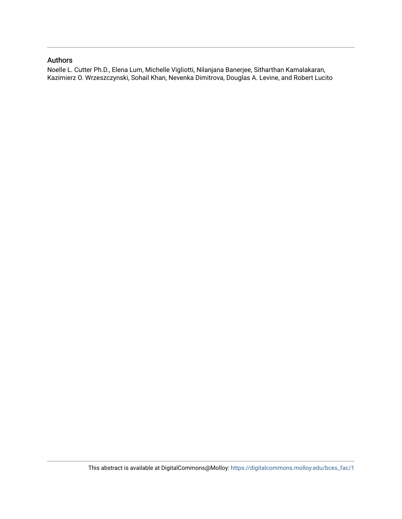### Authors

Noelle L. Cutter Ph.D., Elena Lum, Michelle Vigliotti, Nilanjana Banerjee, Sitharthan Kamalakaran, Kazimierz O. Wrzeszczynski, Sohail Khan, Nevenka Dimitrova, Douglas A. Levine, and Robert Lucito